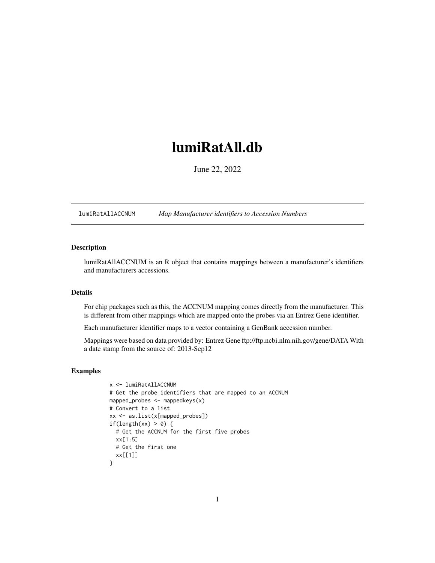# <span id="page-0-1"></span><span id="page-0-0"></span>lumiRatAll.db

June 22, 2022

lumiRatAllACCNUM *Map Manufacturer identifiers to Accession Numbers*

# Description

lumiRatAllACCNUM is an R object that contains mappings between a manufacturer's identifiers and manufacturers accessions.

# Details

For chip packages such as this, the ACCNUM mapping comes directly from the manufacturer. This is different from other mappings which are mapped onto the probes via an Entrez Gene identifier.

Each manufacturer identifier maps to a vector containing a GenBank accession number.

Mappings were based on data provided by: Entrez Gene ftp://ftp.ncbi.nlm.nih.gov/gene/DATA With a date stamp from the source of: 2013-Sep12

```
x <- lumiRatAllACCNUM
# Get the probe identifiers that are mapped to an ACCNUM
mapped_probes <- mappedkeys(x)
# Convert to a list
xx <- as.list(x[mapped_probes])
if(length(xx) > 0) {
  # Get the ACCNUM for the first five probes
  xx[1:5]
  # Get the first one
  xx[[1]]
}
```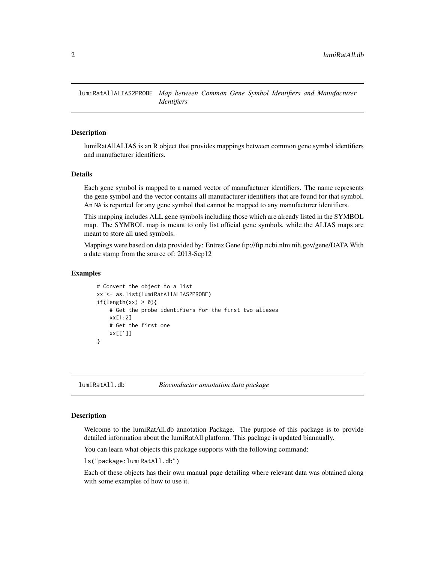<span id="page-1-0"></span>lumiRatAllALIAS2PROBE *Map between Common Gene Symbol Identifiers and Manufacturer Identifiers*

#### Description

lumiRatAllALIAS is an R object that provides mappings between common gene symbol identifiers and manufacturer identifiers.

#### Details

Each gene symbol is mapped to a named vector of manufacturer identifiers. The name represents the gene symbol and the vector contains all manufacturer identifiers that are found for that symbol. An NA is reported for any gene symbol that cannot be mapped to any manufacturer identifiers.

This mapping includes ALL gene symbols including those which are already listed in the SYMBOL map. The SYMBOL map is meant to only list official gene symbols, while the ALIAS maps are meant to store all used symbols.

Mappings were based on data provided by: Entrez Gene ftp://ftp.ncbi.nlm.nih.gov/gene/DATA With a date stamp from the source of: 2013-Sep12

#### Examples

```
# Convert the object to a list
xx <- as.list(lumiRatAllALIAS2PROBE)
if(length(xx) > 0){
    # Get the probe identifiers for the first two aliases
   xx[1:2]
   # Get the first one
   xx[[1]]
}
```
lumiRatAll.db *Bioconductor annotation data package*

#### Description

Welcome to the lumiRatAll.db annotation Package. The purpose of this package is to provide detailed information about the lumiRatAll platform. This package is updated biannually.

You can learn what objects this package supports with the following command:

ls("package:lumiRatAll.db")

Each of these objects has their own manual page detailing where relevant data was obtained along with some examples of how to use it.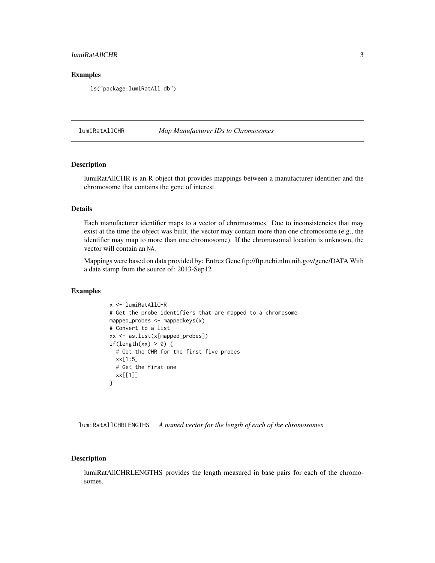# <span id="page-2-0"></span>lumiRatAllCHR 3

#### Examples

ls("package:lumiRatAll.db")

lumiRatAllCHR *Map Manufacturer IDs to Chromosomes*

### Description

lumiRatAllCHR is an R object that provides mappings between a manufacturer identifier and the chromosome that contains the gene of interest.

# Details

Each manufacturer identifier maps to a vector of chromosomes. Due to inconsistencies that may exist at the time the object was built, the vector may contain more than one chromosome (e.g., the identifier may map to more than one chromosome). If the chromosomal location is unknown, the vector will contain an NA.

Mappings were based on data provided by: Entrez Gene ftp://ftp.ncbi.nlm.nih.gov/gene/DATA With a date stamp from the source of: 2013-Sep12

#### Examples

```
x <- lumiRatAllCHR
# Get the probe identifiers that are mapped to a chromosome
mapped_probes <- mappedkeys(x)
# Convert to a list
xx <- as.list(x[mapped_probes])
if(length(xx) > 0) {
  # Get the CHR for the first five probes
 xx[1:5]
  # Get the first one
  xx[[1]]
}
```
lumiRatAllCHRLENGTHS *A named vector for the length of each of the chromosomes*

# Description

lumiRatAllCHRLENGTHS provides the length measured in base pairs for each of the chromosomes.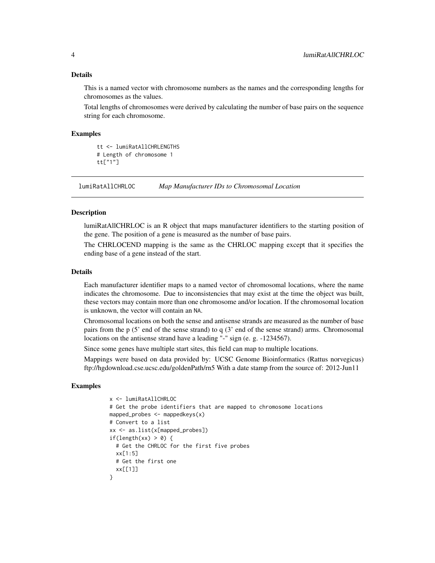#### <span id="page-3-0"></span>Details

This is a named vector with chromosome numbers as the names and the corresponding lengths for chromosomes as the values.

Total lengths of chromosomes were derived by calculating the number of base pairs on the sequence string for each chromosome.

#### Examples

```
tt <- lumiRatAllCHRLENGTHS
# Length of chromosome 1
tt["1"]
```
lumiRatAllCHRLOC *Map Manufacturer IDs to Chromosomal Location*

#### **Description**

lumiRatAllCHRLOC is an R object that maps manufacturer identifiers to the starting position of the gene. The position of a gene is measured as the number of base pairs.

The CHRLOCEND mapping is the same as the CHRLOC mapping except that it specifies the ending base of a gene instead of the start.

#### Details

Each manufacturer identifier maps to a named vector of chromosomal locations, where the name indicates the chromosome. Due to inconsistencies that may exist at the time the object was built, these vectors may contain more than one chromosome and/or location. If the chromosomal location is unknown, the vector will contain an NA.

Chromosomal locations on both the sense and antisense strands are measured as the number of base pairs from the p (5' end of the sense strand) to q (3' end of the sense strand) arms. Chromosomal locations on the antisense strand have a leading "-" sign (e. g. -1234567).

Since some genes have multiple start sites, this field can map to multiple locations.

Mappings were based on data provided by: UCSC Genome Bioinformatics (Rattus norvegicus) ftp://hgdownload.cse.ucsc.edu/goldenPath/rn5 With a date stamp from the source of: 2012-Jun11

```
x <- lumiRatAllCHRLOC
# Get the probe identifiers that are mapped to chromosome locations
mapped_probes <- mappedkeys(x)
# Convert to a list
xx <- as.list(x[mapped_probes])
if(length(xx) > 0) {
  # Get the CHRLOC for the first five probes
 xx[1:5]
 # Get the first one
 xx[[1]]
}
```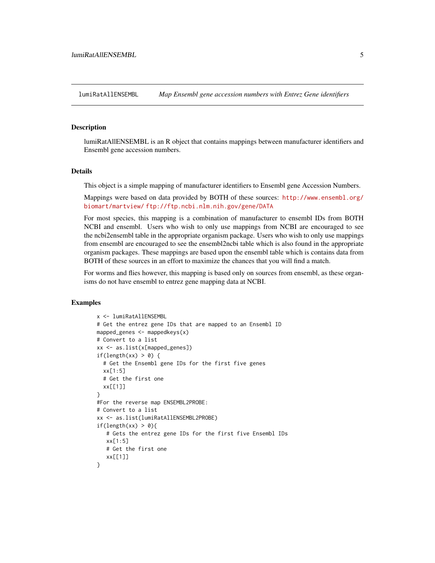<span id="page-4-0"></span>lumiRatAllENSEMBL *Map Ensembl gene accession numbers with Entrez Gene identifiers*

#### **Description**

lumiRatAllENSEMBL is an R object that contains mappings between manufacturer identifiers and Ensembl gene accession numbers.

#### Details

This object is a simple mapping of manufacturer identifiers to Ensembl gene Accession Numbers.

Mappings were based on data provided by BOTH of these sources: [http://www.ensembl.org/](http://www.ensembl.org/biomart/martview/) [biomart/martview/](http://www.ensembl.org/biomart/martview/) <ftp://ftp.ncbi.nlm.nih.gov/gene/DATA>

For most species, this mapping is a combination of manufacturer to ensembl IDs from BOTH NCBI and ensembl. Users who wish to only use mappings from NCBI are encouraged to see the ncbi2ensembl table in the appropriate organism package. Users who wish to only use mappings from ensembl are encouraged to see the ensembl2ncbi table which is also found in the appropriate organism packages. These mappings are based upon the ensembl table which is contains data from BOTH of these sources in an effort to maximize the chances that you will find a match.

For worms and flies however, this mapping is based only on sources from ensembl, as these organisms do not have ensembl to entrez gene mapping data at NCBI.

```
x <- lumiRatAllENSEMBL
# Get the entrez gene IDs that are mapped to an Ensembl ID
mapped_genes <- mappedkeys(x)
# Convert to a list
xx <- as.list(x[mapped_genes])
if(length(xx) > 0) {
  # Get the Ensembl gene IDs for the first five genes
  xx[1:5]
  # Get the first one
  xx[[1]]
}
#For the reverse map ENSEMBL2PROBE:
# Convert to a list
xx <- as.list(lumiRatAllENSEMBL2PROBE)
if(length(xx) > 0){
   # Gets the entrez gene IDs for the first five Ensembl IDs
   xx[1:5]
   # Get the first one
   xx[[1]]
}
```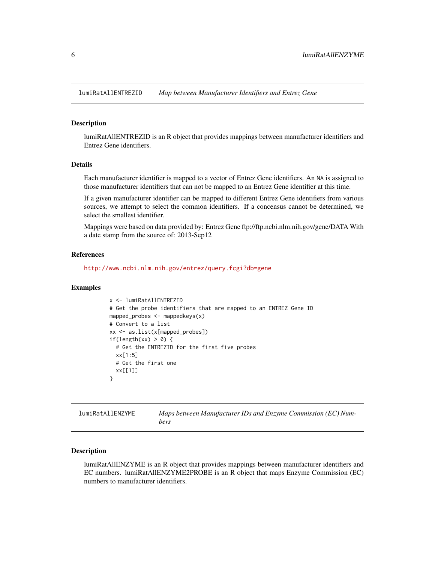<span id="page-5-0"></span>lumiRatAllENTREZID *Map between Manufacturer Identifiers and Entrez Gene*

#### Description

lumiRatAllENTREZID is an R object that provides mappings between manufacturer identifiers and Entrez Gene identifiers.

# Details

Each manufacturer identifier is mapped to a vector of Entrez Gene identifiers. An NA is assigned to those manufacturer identifiers that can not be mapped to an Entrez Gene identifier at this time.

If a given manufacturer identifier can be mapped to different Entrez Gene identifiers from various sources, we attempt to select the common identifiers. If a concensus cannot be determined, we select the smallest identifier.

Mappings were based on data provided by: Entrez Gene ftp://ftp.ncbi.nlm.nih.gov/gene/DATA With a date stamp from the source of: 2013-Sep12

#### References

<http://www.ncbi.nlm.nih.gov/entrez/query.fcgi?db=gene>

#### Examples

```
x <- lumiRatAllENTREZID
# Get the probe identifiers that are mapped to an ENTREZ Gene ID
mapped_probes <- mappedkeys(x)
# Convert to a list
xx <- as.list(x[mapped_probes])
if(length(xx) > 0) {
 # Get the ENTREZID for the first five probes
  xx[1:5]
 # Get the first one
  xx[[1]]
}
```

| <b>lumiRatAllENZYME</b> | Maps between Manufacturer IDs and Enzyme Commission (EC) Num- |
|-------------------------|---------------------------------------------------------------|
|                         | bers                                                          |

# **Description**

lumiRatAllENZYME is an R object that provides mappings between manufacturer identifiers and EC numbers. lumiRatAllENZYME2PROBE is an R object that maps Enzyme Commission (EC) numbers to manufacturer identifiers.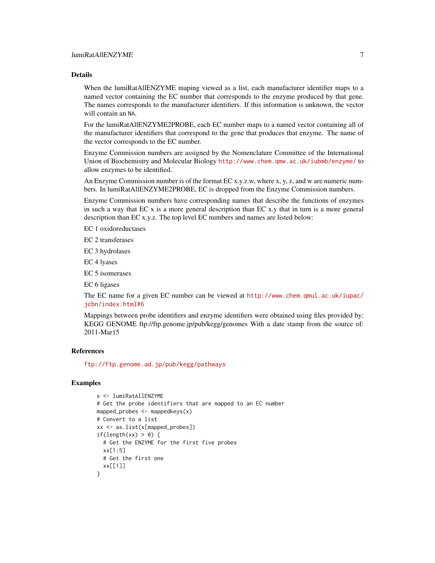# Details

When the lumiRatAllENZYME maping viewed as a list, each manufacturer identifier maps to a named vector containing the EC number that corresponds to the enzyme produced by that gene. The names corresponds to the manufacturer identifiers. If this information is unknown, the vector will contain an NA.

For the lumiRatAllENZYME2PROBE, each EC number maps to a named vector containing all of the manufacturer identifiers that correspond to the gene that produces that enzyme. The name of the vector corresponds to the EC number.

Enzyme Commission numbers are assigned by the Nomenclature Committee of the International Union of Biochemistry and Molecular Biology <http://www.chem.qmw.ac.uk/iubmb/enzyme/> to allow enzymes to be identified.

An Enzyme Commission number is of the format EC x.y.z.w, where x, y, z, and w are numeric numbers. In lumiRatAllENZYME2PROBE, EC is dropped from the Enzyme Commission numbers.

Enzyme Commission numbers have corresponding names that describe the functions of enzymes in such a way that EC x is a more general description than EC x.y that in turn is a more general description than EC x.y.z. The top level EC numbers and names are listed below:

EC 1 oxidoreductases

EC 2 transferases

EC 3 hydrolases

EC 4 lyases

EC 5 isomerases

EC 6 ligases

The EC name for a given EC number can be viewed at [http://www.chem.qmul.ac.uk/iupac/](http://www.chem.qmul.ac.uk/iupac/jcbn/index.html#6) [jcbn/index.html#6](http://www.chem.qmul.ac.uk/iupac/jcbn/index.html#6)

Mappings between probe identifiers and enzyme identifiers were obtained using files provided by: KEGG GENOME ftp://ftp.genome.jp/pub/kegg/genomes With a date stamp from the source of: 2011-Mar15

# References

<ftp://ftp.genome.ad.jp/pub/kegg/pathways>

```
x <- lumiRatAllENZYME
# Get the probe identifiers that are mapped to an EC number
mapped_probes <- mappedkeys(x)
# Convert to a list
xx <- as.list(x[mapped_probes])
if(length(xx) > 0) {
  # Get the ENZYME for the first five probes
  xx[1:5]
  # Get the first one
  xx[[1]]
}
```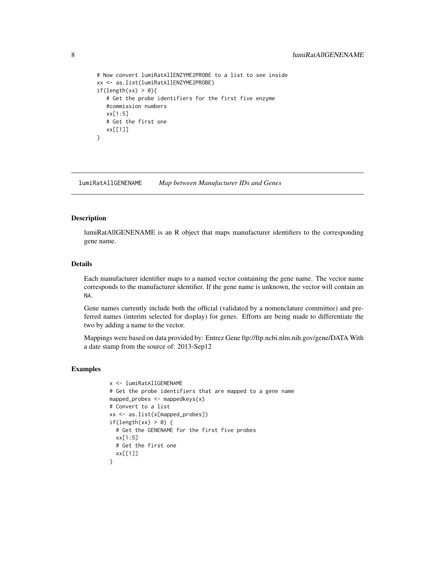```
# Now convert lumiRatAllENZYME2PROBE to a list to see inside
xx <- as.list(lumiRatAllENZYME2PROBE)
if(length(xx) > 0){
  # Get the probe identifiers for the first five enzyme
  #commission numbers
  xx[1:5]
  # Get the first one
  xx[[1]]
}
```
lumiRatAllGENENAME *Map between Manufacturer IDs and Genes*

#### Description

lumiRatAllGENENAME is an R object that maps manufacturer identifiers to the corresponding gene name.

# Details

Each manufacturer identifier maps to a named vector containing the gene name. The vector name corresponds to the manufacturer identifier. If the gene name is unknown, the vector will contain an NA.

Gene names currently include both the official (validated by a nomenclature committee) and preferred names (interim selected for display) for genes. Efforts are being made to differentiate the two by adding a name to the vector.

Mappings were based on data provided by: Entrez Gene ftp://ftp.ncbi.nlm.nih.gov/gene/DATA With a date stamp from the source of: 2013-Sep12

```
x <- lumiRatAllGENENAME
# Get the probe identifiers that are mapped to a gene name
mapped_probes <- mappedkeys(x)
# Convert to a list
xx <- as.list(x[mapped_probes])
if(length(xx) > 0) {
  # Get the GENENAME for the first five probes
  xx[1:5]
 # Get the first one
 xx[[1]]
}
```
<span id="page-7-0"></span>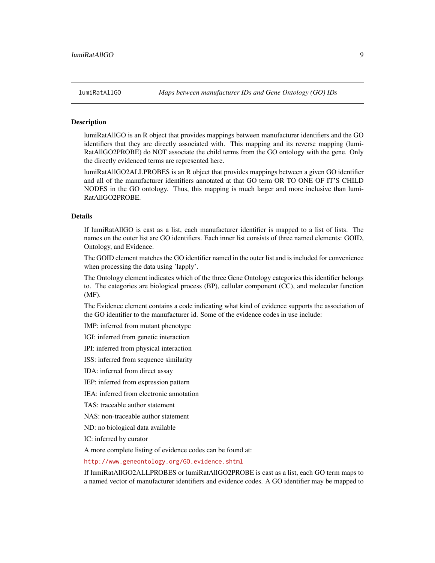<span id="page-8-1"></span>

#### <span id="page-8-0"></span>**Description**

lumiRatAllGO is an R object that provides mappings between manufacturer identifiers and the GO identifiers that they are directly associated with. This mapping and its reverse mapping (lumi-RatAllGO2PROBE) do NOT associate the child terms from the GO ontology with the gene. Only the directly evidenced terms are represented here.

lumiRatAllGO2ALLPROBES is an R object that provides mappings between a given GO identifier and all of the manufacturer identifiers annotated at that GO term OR TO ONE OF IT'S CHILD NODES in the GO ontology. Thus, this mapping is much larger and more inclusive than lumi-RatAllGO2PROBE.

# Details

If lumiRatAllGO is cast as a list, each manufacturer identifier is mapped to a list of lists. The names on the outer list are GO identifiers. Each inner list consists of three named elements: GOID, Ontology, and Evidence.

The GOID element matches the GO identifier named in the outer list and is included for convenience when processing the data using 'lapply'.

The Ontology element indicates which of the three Gene Ontology categories this identifier belongs to. The categories are biological process (BP), cellular component (CC), and molecular function (MF).

The Evidence element contains a code indicating what kind of evidence supports the association of the GO identifier to the manufacturer id. Some of the evidence codes in use include:

IMP: inferred from mutant phenotype

IGI: inferred from genetic interaction

IPI: inferred from physical interaction

ISS: inferred from sequence similarity

IDA: inferred from direct assay

IEP: inferred from expression pattern

IEA: inferred from electronic annotation

TAS: traceable author statement

NAS: non-traceable author statement

ND: no biological data available

IC: inferred by curator

A more complete listing of evidence codes can be found at:

<http://www.geneontology.org/GO.evidence.shtml>

If lumiRatAllGO2ALLPROBES or lumiRatAllGO2PROBE is cast as a list, each GO term maps to a named vector of manufacturer identifiers and evidence codes. A GO identifier may be mapped to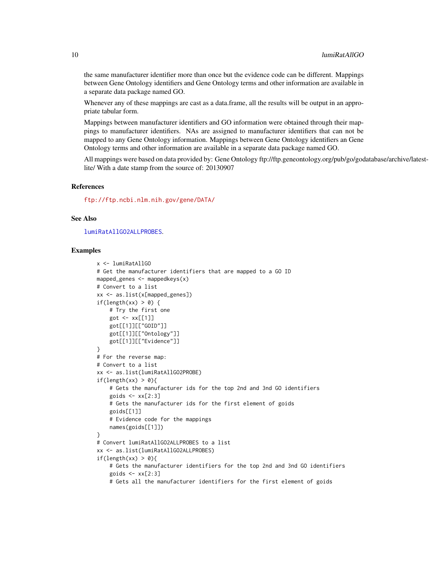the same manufacturer identifier more than once but the evidence code can be different. Mappings between Gene Ontology identifiers and Gene Ontology terms and other information are available in a separate data package named GO.

Whenever any of these mappings are cast as a data.frame, all the results will be output in an appropriate tabular form.

Mappings between manufacturer identifiers and GO information were obtained through their mappings to manufacturer identifiers. NAs are assigned to manufacturer identifiers that can not be mapped to any Gene Ontology information. Mappings between Gene Ontology identifiers an Gene Ontology terms and other information are available in a separate data package named GO.

All mappings were based on data provided by: Gene Ontology ftp://ftp.geneontology.org/pub/go/godatabase/archive/latestlite/ With a date stamp from the source of: 20130907

#### References

<ftp://ftp.ncbi.nlm.nih.gov/gene/DATA/>

# See Also

[lumiRatAllGO2ALLPROBES](#page-8-0).

```
x <- lumiRatAllGO
# Get the manufacturer identifiers that are mapped to a GO ID
mapped_genes \leq mappedkeys(x)
# Convert to a list
xx <- as.list(x[mapped_genes])
if(length(xx) > 0) {
    # Try the first one
    got <- xx[[1]]
    got[[1]][["GOID"]]
    got[[1]][["Ontology"]]
    got[[1]][["Evidence"]]
}
# For the reverse map:
# Convert to a list
xx <- as.list(lumiRatAllGO2PROBE)
if(length(xx) > 0){
    # Gets the manufacturer ids for the top 2nd and 3nd GO identifiers
    goids \leq -x \times [2:3]# Gets the manufacturer ids for the first element of goids
    goids[[1]]
    # Evidence code for the mappings
    names(goids[[1]])
}
# Convert lumiRatAllGO2ALLPROBES to a list
xx <- as.list(lumiRatAllGO2ALLPROBES)
if(length(xx) > 0){
    # Gets the manufacturer identifiers for the top 2nd and 3nd GO identifiers
    goids \leftarrow xx[2:3]# Gets all the manufacturer identifiers for the first element of goids
```
<span id="page-9-0"></span>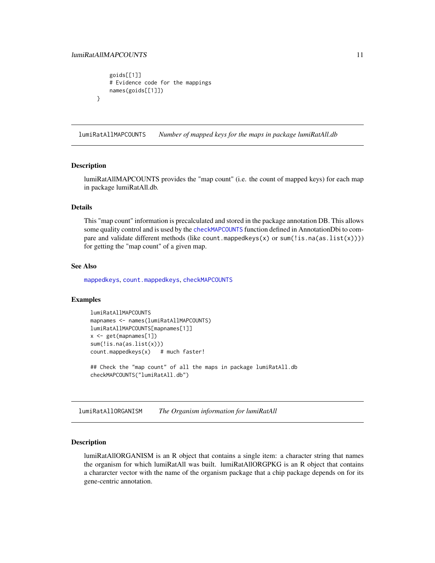}

```
goids[[1]]
# Evidence code for the mappings
names(goids[[1]])
```
lumiRatAllMAPCOUNTS *Number of mapped keys for the maps in package lumiRatAll.db*

#### Description

lumiRatAllMAPCOUNTS provides the "map count" (i.e. the count of mapped keys) for each map in package lumiRatAll.db.

# Details

This "map count" information is precalculated and stored in the package annotation DB. This allows some quality control and is used by the [checkMAPCOUNTS](#page-0-0) function defined in AnnotationDbi to compare and validate different methods (like count.mappedkeys(x) or sum(!is.na(as.list(x)))) for getting the "map count" of a given map.

#### See Also

[mappedkeys](#page-0-0), [count.mappedkeys](#page-0-0), [checkMAPCOUNTS](#page-0-0)

#### Examples

```
lumiRatAllMAPCOUNTS
mapnames <- names(lumiRatAllMAPCOUNTS)
lumiRatAllMAPCOUNTS[mapnames[1]]
x <- get(mapnames[1])
sum(!is.na(as.list(x)))
count.mappedkeys(x) # much faster!
## Check the "map count" of all the maps in package lumiRatAll.db
```
checkMAPCOUNTS("lumiRatAll.db")

lumiRatAllORGANISM *The Organism information for lumiRatAll*

#### Description

lumiRatAllORGANISM is an R object that contains a single item: a character string that names the organism for which lumiRatAll was built. lumiRatAllORGPKG is an R object that contains a chararcter vector with the name of the organism package that a chip package depends on for its gene-centric annotation.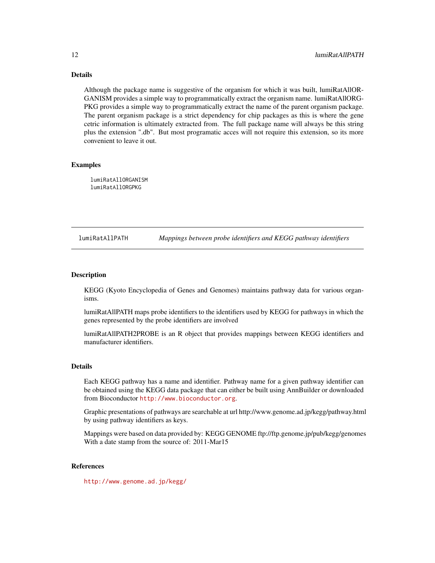# <span id="page-11-0"></span>Details

Although the package name is suggestive of the organism for which it was built, lumiRatAllOR-GANISM provides a simple way to programmatically extract the organism name. lumiRatAllORG-PKG provides a simple way to programmatically extract the name of the parent organism package. The parent organism package is a strict dependency for chip packages as this is where the gene cetric information is ultimately extracted from. The full package name will always be this string plus the extension ".db". But most programatic acces will not require this extension, so its more convenient to leave it out.

### Examples

lumiRatAllORGANISM lumiRatAllORGPKG

lumiRatAllPATH *Mappings between probe identifiers and KEGG pathway identifiers*

# Description

KEGG (Kyoto Encyclopedia of Genes and Genomes) maintains pathway data for various organisms.

lumiRatAllPATH maps probe identifiers to the identifiers used by KEGG for pathways in which the genes represented by the probe identifiers are involved

lumiRatAllPATH2PROBE is an R object that provides mappings between KEGG identifiers and manufacturer identifiers.

#### Details

Each KEGG pathway has a name and identifier. Pathway name for a given pathway identifier can be obtained using the KEGG data package that can either be built using AnnBuilder or downloaded from Bioconductor <http://www.bioconductor.org>.

Graphic presentations of pathways are searchable at url http://www.genome.ad.jp/kegg/pathway.html by using pathway identifiers as keys.

Mappings were based on data provided by: KEGG GENOME ftp://ftp.genome.jp/pub/kegg/genomes With a date stamp from the source of: 2011-Mar15

# References

<http://www.genome.ad.jp/kegg/>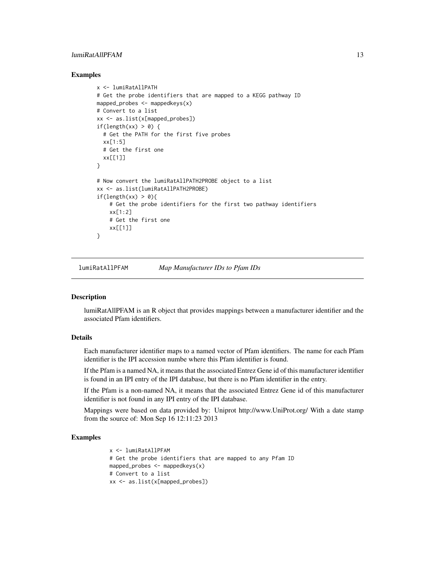# <span id="page-12-0"></span>lumiRatAllPFAM 13

#### Examples

```
x <- lumiRatAllPATH
# Get the probe identifiers that are mapped to a KEGG pathway ID
mapped_probes \leq mappedkeys(x)
# Convert to a list
xx <- as.list(x[mapped_probes])
if(length(xx) > 0) {
  # Get the PATH for the first five probes
  xx[1:5]
  # Get the first one
  xx[[1]]
}
# Now convert the lumiRatAllPATH2PROBE object to a list
xx <- as.list(lumiRatAllPATH2PROBE)
if(length(xx) > 0){
    # Get the probe identifiers for the first two pathway identifiers
    xx[1:2]
    # Get the first one
    xx[[1]]
}
```
lumiRatAllPFAM *Map Manufacturer IDs to Pfam IDs*

# Description

lumiRatAllPFAM is an R object that provides mappings between a manufacturer identifier and the associated Pfam identifiers.

#### Details

Each manufacturer identifier maps to a named vector of Pfam identifiers. The name for each Pfam identifier is the IPI accession numbe where this Pfam identifier is found.

If the Pfam is a named NA, it means that the associated Entrez Gene id of this manufacturer identifier is found in an IPI entry of the IPI database, but there is no Pfam identifier in the entry.

If the Pfam is a non-named NA, it means that the associated Entrez Gene id of this manufacturer identifier is not found in any IPI entry of the IPI database.

Mappings were based on data provided by: Uniprot http://www.UniProt.org/ With a date stamp from the source of: Mon Sep 16 12:11:23 2013

```
x <- lumiRatAllPFAM
# Get the probe identifiers that are mapped to any Pfam ID
mapped_probes <- mappedkeys(x)
# Convert to a list
xx <- as.list(x[mapped_probes])
```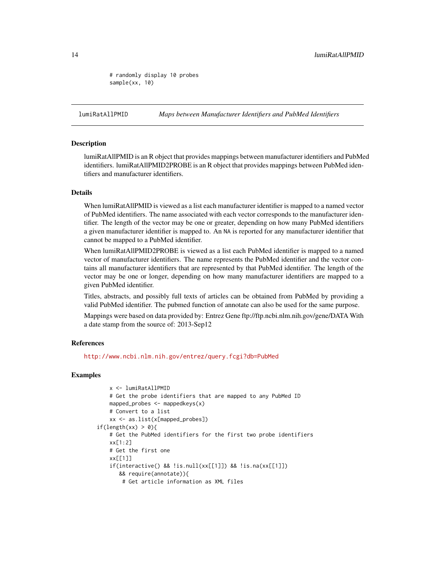<span id="page-13-0"></span># randomly display 10 probes sample(xx, 10)

lumiRatAllPMID *Maps between Manufacturer Identifiers and PubMed Identifiers*

#### Description

lumiRatAllPMID is an R object that provides mappings between manufacturer identifiers and PubMed identifiers. lumiRatAllPMID2PROBE is an R object that provides mappings between PubMed identifiers and manufacturer identifiers.

# **Details**

When lumiRatAllPMID is viewed as a list each manufacturer identifier is mapped to a named vector of PubMed identifiers. The name associated with each vector corresponds to the manufacturer identifier. The length of the vector may be one or greater, depending on how many PubMed identifiers a given manufacturer identifier is mapped to. An NA is reported for any manufacturer identifier that cannot be mapped to a PubMed identifier.

When lumiRatAllPMID2PROBE is viewed as a list each PubMed identifier is mapped to a named vector of manufacturer identifiers. The name represents the PubMed identifier and the vector contains all manufacturer identifiers that are represented by that PubMed identifier. The length of the vector may be one or longer, depending on how many manufacturer identifiers are mapped to a given PubMed identifier.

Titles, abstracts, and possibly full texts of articles can be obtained from PubMed by providing a valid PubMed identifier. The pubmed function of annotate can also be used for the same purpose.

Mappings were based on data provided by: Entrez Gene ftp://ftp.ncbi.nlm.nih.gov/gene/DATA With a date stamp from the source of: 2013-Sep12

#### References

<http://www.ncbi.nlm.nih.gov/entrez/query.fcgi?db=PubMed>

```
x <- lumiRatAllPMID
   # Get the probe identifiers that are mapped to any PubMed ID
   mapped_probes \leq mappedkeys(x)
   # Convert to a list
   xx <- as.list(x[mapped_probes])
if(length(xx) > 0)# Get the PubMed identifiers for the first two probe identifiers
   xx[1:2]
   # Get the first one
   xx[[1]]
   if(interactive() && !is.null(xx[[1]]) && !is.na(xx[[1]])
      && require(annotate)){
       # Get article information as XML files
```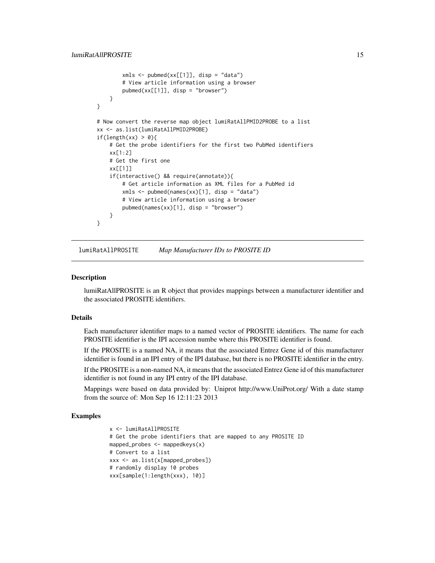```
xmls < -pubmed(xx[[1]], disp = "data")# View article information using a browser
       pubmed(xx[[1]], disp = "browser")
   }
}
# Now convert the reverse map object lumiRatAllPMID2PROBE to a list
xx <- as.list(lumiRatAllPMID2PROBE)
if(length(xx) > 0){
   # Get the probe identifiers for the first two PubMed identifiers
   xx[1:2]
   # Get the first one
   xx[[1]]
    if(interactive() && require(annotate)){
       # Get article information as XML files for a PubMed id
       xmls <- pubmed(names(xx)[1], disp = "data")
       # View article information using a browser
       pubmed(names(xx)[1], disp = "browser")
   }
}
```
lumiRatAllPROSITE *Map Manufacturer IDs to PROSITE ID*

#### Description

lumiRatAllPROSITE is an R object that provides mappings between a manufacturer identifier and the associated PROSITE identifiers.

# Details

Each manufacturer identifier maps to a named vector of PROSITE identifiers. The name for each PROSITE identifier is the IPI accession numbe where this PROSITE identifier is found.

If the PROSITE is a named NA, it means that the associated Entrez Gene id of this manufacturer identifier is found in an IPI entry of the IPI database, but there is no PROSITE identifier in the entry.

If the PROSITE is a non-named NA, it means that the associated Entrez Gene id of this manufacturer identifier is not found in any IPI entry of the IPI database.

Mappings were based on data provided by: Uniprot http://www.UniProt.org/ With a date stamp from the source of: Mon Sep 16 12:11:23 2013

```
x <- lumiRatAllPROSITE
# Get the probe identifiers that are mapped to any PROSITE ID
mapped_probes <- mappedkeys(x)
# Convert to a list
xxx <- as.list(x[mapped_probes])
# randomly display 10 probes
xxx[sample(1:length(xxx), 10)]
```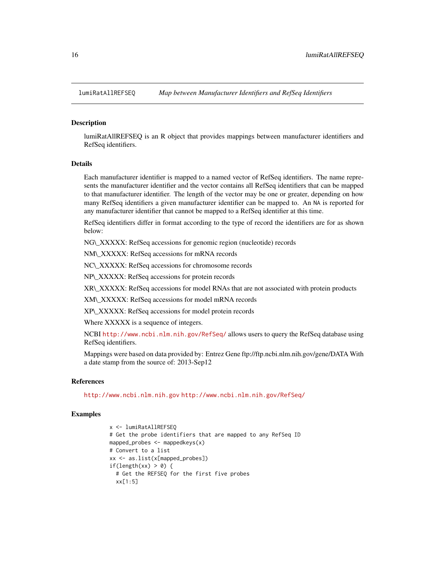<span id="page-15-0"></span>

#### **Description**

lumiRatAllREFSEQ is an R object that provides mappings between manufacturer identifiers and RefSeq identifiers.

# Details

Each manufacturer identifier is mapped to a named vector of RefSeq identifiers. The name represents the manufacturer identifier and the vector contains all RefSeq identifiers that can be mapped to that manufacturer identifier. The length of the vector may be one or greater, depending on how many RefSeq identifiers a given manufacturer identifier can be mapped to. An NA is reported for any manufacturer identifier that cannot be mapped to a RefSeq identifier at this time.

RefSeq identifiers differ in format according to the type of record the identifiers are for as shown below:

NG\\_XXXXX: RefSeq accessions for genomic region (nucleotide) records

NM\\_XXXXX: RefSeq accessions for mRNA records

NC\\_XXXXX: RefSeq accessions for chromosome records

NP\\_XXXXX: RefSeq accessions for protein records

XR\\_XXXXX: RefSeq accessions for model RNAs that are not associated with protein products

XM\\_XXXXX: RefSeq accessions for model mRNA records

XP\\_XXXXX: RefSeq accessions for model protein records

Where XXXXX is a sequence of integers.

NCBI <http://www.ncbi.nlm.nih.gov/RefSeq/> allows users to query the RefSeq database using RefSeq identifiers.

Mappings were based on data provided by: Entrez Gene ftp://ftp.ncbi.nlm.nih.gov/gene/DATA With a date stamp from the source of: 2013-Sep12

# References

<http://www.ncbi.nlm.nih.gov> <http://www.ncbi.nlm.nih.gov/RefSeq/>

```
x <- lumiRatAllREFSEQ
# Get the probe identifiers that are mapped to any RefSeq ID
mapped_probes <- mappedkeys(x)
# Convert to a list
xx <- as.list(x[mapped_probes])
if(length(xx) > 0) {
  # Get the REFSEQ for the first five probes
  xx[1:5]
```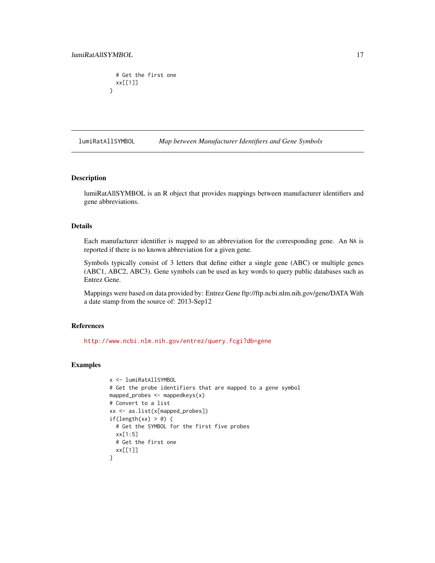```
# Get the first one
  xx[[1]]
}
```
lumiRatAllSYMBOL *Map between Manufacturer Identifiers and Gene Symbols*

#### **Description**

lumiRatAllSYMBOL is an R object that provides mappings between manufacturer identifiers and gene abbreviations.

#### Details

Each manufacturer identifier is mapped to an abbreviation for the corresponding gene. An NA is reported if there is no known abbreviation for a given gene.

Symbols typically consist of 3 letters that define either a single gene (ABC) or multiple genes (ABC1, ABC2, ABC3). Gene symbols can be used as key words to query public databases such as Entrez Gene.

Mappings were based on data provided by: Entrez Gene ftp://ftp.ncbi.nlm.nih.gov/gene/DATA With a date stamp from the source of: 2013-Sep12

# References

<http://www.ncbi.nlm.nih.gov/entrez/query.fcgi?db=gene>

```
x <- lumiRatAllSYMBOL
# Get the probe identifiers that are mapped to a gene symbol
mapped_probes <- mappedkeys(x)
# Convert to a list
xx <- as.list(x[mapped_probes])
if(length(xx) > 0) {
  # Get the SYMBOL for the first five probes
 xx[1:5]
  # Get the first one
  xx[[1]]
}
```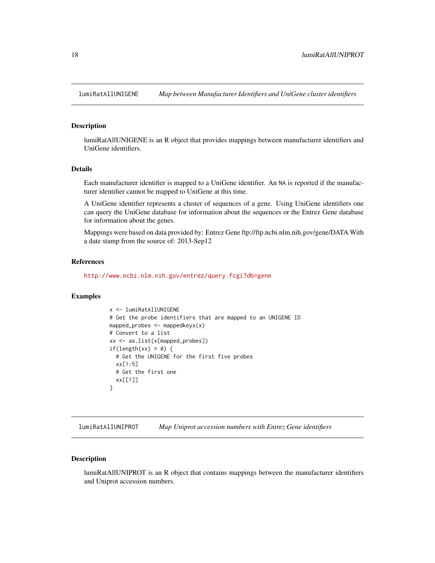<span id="page-17-0"></span>

# Description

lumiRatAllUNIGENE is an R object that provides mappings between manufacturer identifiers and UniGene identifiers.

### Details

Each manufacturer identifier is mapped to a UniGene identifier. An NA is reported if the manufacturer identifier cannot be mapped to UniGene at this time.

A UniGene identifier represents a cluster of sequences of a gene. Using UniGene identifiers one can query the UniGene database for information about the sequences or the Entrez Gene database for information about the genes.

Mappings were based on data provided by: Entrez Gene ftp://ftp.ncbi.nlm.nih.gov/gene/DATA With a date stamp from the source of: 2013-Sep12

# References

<http://www.ncbi.nlm.nih.gov/entrez/query.fcgi?db=gene>

#### Examples

```
x <- lumiRatAllUNIGENE
# Get the probe identifiers that are mapped to an UNIGENE ID
mapped_probes \leq mappedkeys(x)
# Convert to a list
xx <- as.list(x[mapped_probes])
if(length(xx) > 0) {
  # Get the UNIGENE for the first five probes
  xx[1:5]
 # Get the first one
 xx[[1]]
}
```
lumiRatAllUNIPROT *Map Uniprot accession numbers with Entrez Gene identifiers*

# Description

lumiRatAllUNIPROT is an R object that contains mappings between the manufacturer identifiers and Uniprot accession numbers.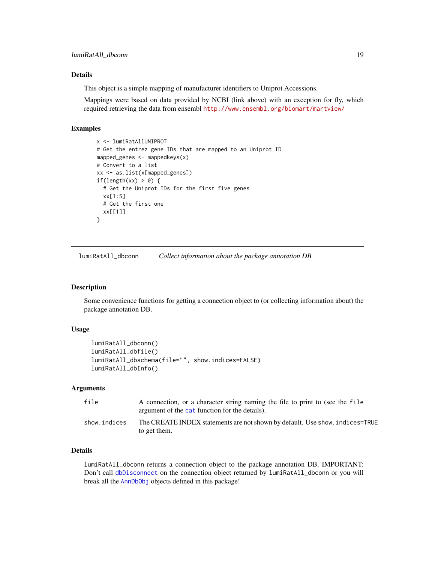# <span id="page-18-0"></span>Details

This object is a simple mapping of manufacturer identifiers to Uniprot Accessions.

Mappings were based on data provided by NCBI (link above) with an exception for fly, which required retrieving the data from ensembl <http://www.ensembl.org/biomart/martview/>

# Examples

```
x <- lumiRatAllUNIPROT
# Get the entrez gene IDs that are mapped to an Uniprot ID
mapped_genes \leq mappedkeys(x)# Convert to a list
xx <- as.list(x[mapped_genes])
if(length(xx) > 0) {
  # Get the Uniprot IDs for the first five genes
  xx[1:5]
  # Get the first one
  xx[[1]]
}
```
lumiRatAll\_dbconn *Collect information about the package annotation DB*

#### Description

Some convenience functions for getting a connection object to (or collecting information about) the package annotation DB.

#### Usage

```
lumiRatAll_dbconn()
lumiRatAll_dbfile()
lumiRatAll_dbschema(file="", show.indices=FALSE)
lumiRatAll_dbInfo()
```
# Arguments

| file         | A connection, or a character string naming the file to print to (see the file<br>argument of the cat function for the details). |
|--------------|---------------------------------------------------------------------------------------------------------------------------------|
| show.indices | The CREATE INDEX statements are not shown by default. Use show, indices=TRUE<br>to get them.                                    |

# Details

lumiRatAll\_dbconn returns a connection object to the package annotation DB. IMPORTANT: Don't call [dbDisconnect](#page-0-0) on the connection object returned by lumiRatAll\_dbconn or you will break all the [AnnDbObj](#page-0-0) objects defined in this package!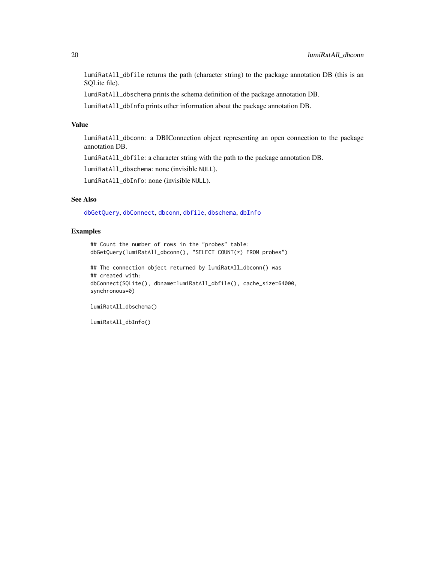lumiRatAll\_dbfile returns the path (character string) to the package annotation DB (this is an SQLite file).

lumiRatAll\_dbschema prints the schema definition of the package annotation DB.

lumiRatAll\_dbInfo prints other information about the package annotation DB.

# Value

lumiRatAll\_dbconn: a DBIConnection object representing an open connection to the package annotation DB.

lumiRatAll\_dbfile: a character string with the path to the package annotation DB.

lumiRatAll\_dbschema: none (invisible NULL).

lumiRatAll\_dbInfo: none (invisible NULL).

# See Also

[dbGetQuery](#page-0-0), [dbConnect](#page-0-0), [dbconn](#page-0-0), [dbfile](#page-0-0), [dbschema](#page-0-0), [dbInfo](#page-0-0)

# Examples

## Count the number of rows in the "probes" table: dbGetQuery(lumiRatAll\_dbconn(), "SELECT COUNT(\*) FROM probes")

```
## The connection object returned by lumiRatAll_dbconn() was
## created with:
dbConnect(SQLite(), dbname=lumiRatAll_dbfile(), cache_size=64000,
synchronous=0)
```
lumiRatAll\_dbschema()

lumiRatAll\_dbInfo()

<span id="page-19-0"></span>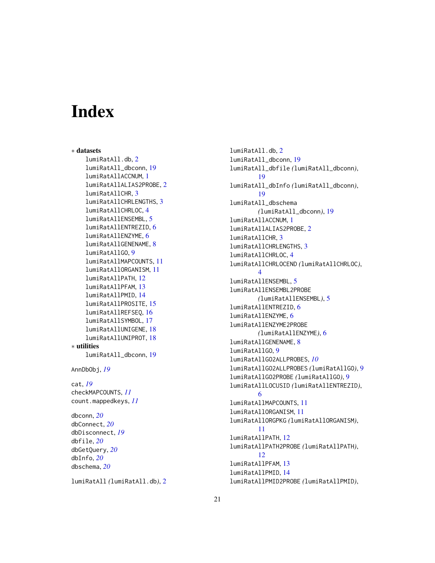# Index

∗ datasets lumiRatAll.db, [2](#page-1-0) lumiRatAll\_dbconn, [19](#page-18-0) lumiRatAllACCNUM, [1](#page-0-1) lumiRatAllALIAS2PROBE, [2](#page-1-0) lumiRatAllCHR, [3](#page-2-0) lumiRatAllCHRLENGTHS, [3](#page-2-0) lumiRatAllCHRLOC, [4](#page-3-0) lumiRatAllENSEMBL, [5](#page-4-0) lumiRatAllENTREZID, [6](#page-5-0) lumiRatAllENZYME, [6](#page-5-0) lumiRatAllGENENAME, [8](#page-7-0) lumiRatAllGO, [9](#page-8-1) lumiRatAllMAPCOUNTS, [11](#page-10-0) lumiRatAllORGANISM, [11](#page-10-0) lumiRatAllPATH, [12](#page-11-0) lumiRatAllPFAM, [13](#page-12-0) lumiRatAllPMID, [14](#page-13-0) lumiRatAllPROSITE, [15](#page-14-0) lumiRatAllREFSEQ, [16](#page-15-0) lumiRatAllSYMBOL, [17](#page-16-0) lumiRatAllUNIGENE, [18](#page-17-0) lumiRatAllUNIPROT, [18](#page-17-0) ∗ utilities lumiRatAll\_dbconn, [19](#page-18-0) AnnDbObj, *[19](#page-18-0)* cat, *[19](#page-18-0)* checkMAPCOUNTS, *[11](#page-10-0)* count.mappedkeys, *[11](#page-10-0)* dbconn, *[20](#page-19-0)* dbConnect, *[20](#page-19-0)* dbDisconnect, *[19](#page-18-0)* dbfile, *[20](#page-19-0)* dbGetQuery, *[20](#page-19-0)* dbInfo, *[20](#page-19-0)* dbschema, *[20](#page-19-0)*

lumiRatAll *(*lumiRatAll.db*)*, [2](#page-1-0)

lumiRatAll.db, [2](#page-1-0) lumiRatAll\_dbconn, [19](#page-18-0) lumiRatAll\_dbfile *(*lumiRatAll\_dbconn*)*, [19](#page-18-0) lumiRatAll\_dbInfo *(*lumiRatAll\_dbconn*)*, [19](#page-18-0) lumiRatAll\_dbschema *(*lumiRatAll\_dbconn*)*, [19](#page-18-0) lumiRatAllACCNUM, [1](#page-0-1) lumiRatAllALIAS2PROBE, [2](#page-1-0) lumiRatAllCHR, [3](#page-2-0) lumiRatAllCHRLENGTHS, [3](#page-2-0) lumiRatAllCHRLOC, [4](#page-3-0) lumiRatAllCHRLOCEND *(*lumiRatAllCHRLOC*)*, [4](#page-3-0) lumiRatAllENSEMBL, [5](#page-4-0) lumiRatAllENSEMBL2PROBE *(*lumiRatAllENSEMBL*)*, [5](#page-4-0) lumiRatAllENTREZID, [6](#page-5-0) lumiRatAllENZYME, [6](#page-5-0) lumiRatAllENZYME2PROBE *(*lumiRatAllENZYME*)*, [6](#page-5-0) lumiRatAllGENENAME, [8](#page-7-0) lumiRatAllGO, [9](#page-8-1) lumiRatAllGO2ALLPROBES, *[10](#page-9-0)* lumiRatAllGO2ALLPROBES *(*lumiRatAllGO*)*, [9](#page-8-1) lumiRatAllGO2PROBE *(*lumiRatAllGO*)*, [9](#page-8-1) lumiRatAllLOCUSID *(*lumiRatAllENTREZID*)*, [6](#page-5-0) lumiRatAllMAPCOUNTS, [11](#page-10-0) lumiRatAllORGANISM, [11](#page-10-0) lumiRatAllORGPKG *(*lumiRatAllORGANISM*)*, [11](#page-10-0) lumiRatAllPATH, [12](#page-11-0) lumiRatAllPATH2PROBE *(*lumiRatAllPATH*)*, [12](#page-11-0) lumiRatAllPFAM, [13](#page-12-0) lumiRatAllPMID, [14](#page-13-0) lumiRatAllPMID2PROBE *(*lumiRatAllPMID*)*,